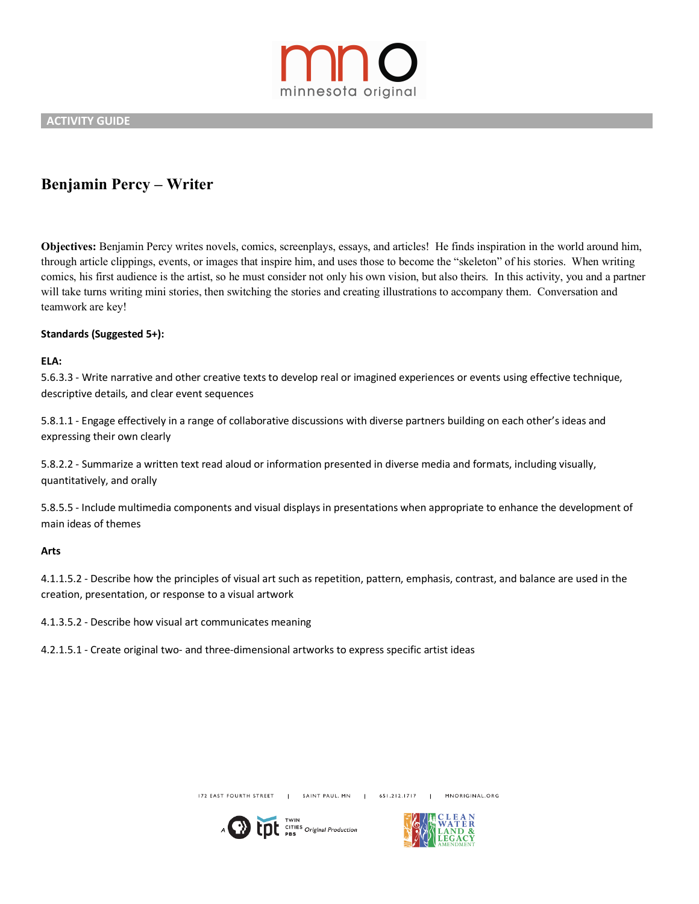

 **ACTIVITY GUIDE** 

# **Benjamin Percy – Writer**

**Objectives:** Benjamin Percy writes novels, comics, screenplays, essays, and articles! He finds inspiration in the world around him, through article clippings, events, or images that inspire him, and uses those to become the "skeleton" of his stories. When writing comics, his first audience is the artist, so he must consider not only his own vision, but also theirs. In this activity, you and a partner will take turns writing mini stories, then switching the stories and creating illustrations to accompany them. Conversation and teamwork are key!

## **Standards (Suggested 5+):**

### **ELA:**

5.6.3.3 - Write narrative and other creative texts to develop real or imagined experiences or events using effective technique, descriptive details, and clear event sequences

5.8.1.1 - Engage effectively in a range of collaborative discussions with diverse partners building on each other's ideas and expressing their own clearly

5.8.2.2 - Summarize a written text read aloud or information presented in diverse media and formats, including visually, quantitatively, and orally

5.8.5.5 - Include multimedia components and visual displays in presentations when appropriate to enhance the development of main ideas of themes

#### **Arts**

4.1.1.5.2 - Describe how the principles of visual art such as repetition, pattern, emphasis, contrast, and balance are used in the creation, presentation, or response to a visual artwork

4.1.3.5.2 - Describe how visual art communicates meaning

4.2.1.5.1 - Create original two- and three-dimensional artworks to express specific artist ideas

172 EAST FOURTH STREET SAINT PAUL, MN | 651.212.1717 MNORIGINAL.ORG